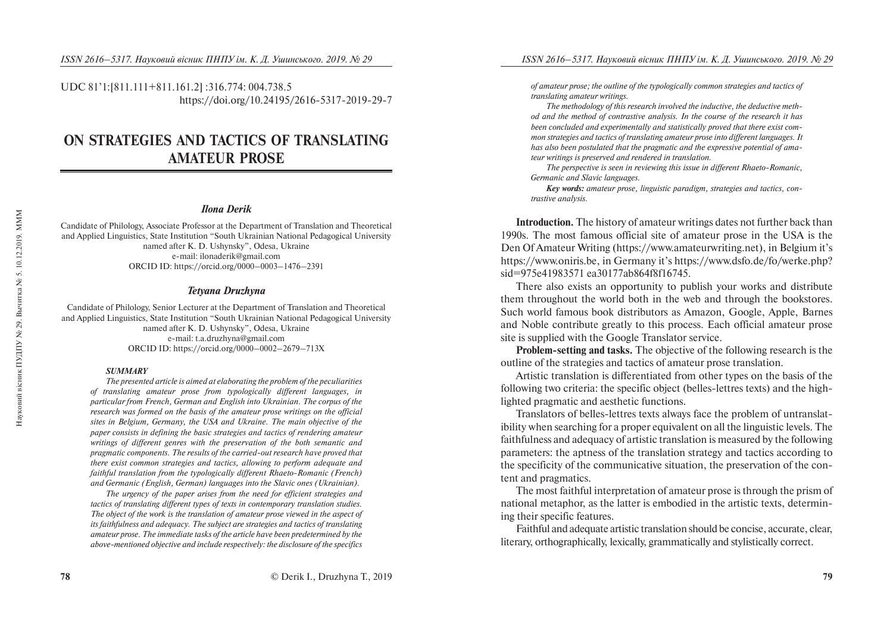UDC 81'1:[811.111+811.161.2] :316.774: 004.738.5 https://doi.org/10.24195/2616-5317-2019-29-7

# **ON STRATEGIES AND TACTICS OF TRANSLATING AMATEUR PROSE**

#### *Ilona Derik*

Candidate of Philology, Associate Professor at the Department of Translation and Theoretical and Applied Linguistics, State Institution "South Ukrainian National Pedagogical University named after K. D. Ushynsky", Odesa, Ukraine e-mail: ilonaderik@gmail.com ORCID ID: https://orcid.org/0000–0003–1476–2391

#### *Tetyana Druzhyna*

Candidate of Philology, Senior Lecturer at the Department of Translation and Theoretical and Applied Linguistics, State Institution "South Ukrainian National Pedagogical University named after K. D. Ushynsky", Odesa, Ukraine e-mail: t.a.druzhyna@gmail.com ORCID ID: https://orcid.org/0000–0002–2679–713X

#### *SUMMARY*

*The presented article is aimed at elaborating the problem of the peculiarities of translating amateur prose from typologically different languages, in particular from French, German and English into Ukrainian. The corpus of the research was formed on the basis of the amateur prose writings on the official sites in Belgium, Germany, the USA and Ukraine. The main objective of the paper consists in defining the basic strategies and tactics of rendering amateur writings of different genres with the preservation of the both semantic and pragmatic components. The results of the carried-out research have proved that there exist common strategies and tactics, allowing to perform adequate and faithful translation from the typologically different Rhaeto-Romanic (French) and Germanic (English, German) languages into the Slavic ones (Ukrainian).* 

*The urgency of the paper arises from the need for efficient strategies and tactics of translating different types of texts in contemporary translation studies. The object of the work is the translation of amateur prose viewed in the aspect of its faithfulness and adequacy. The subject are strategies and tactics of translating amateur prose. The immediate tasks of the article have been predetermined by the above-mentioned objective and include respectively: the disclosure of the specifics* 

*of amateur prose; the outline of the typologically common strategies and tactics of translating amateur writings.* 

*The methodology of this research involved the inductive, the deductive method and the method of contrastive analysis. In the course of the research it has been concluded and experimentally and statistically proved that there exist common strategies and tactics of translating amateur prose into different languages. It has also been postulated that the pragmatic and the expressive potential of amateur writings is preserved and rendered in translation.* 

*The perspective is seen in reviewing this issue in different Rhaeto-Romanic, Germanic and Slavic languages.* 

*Key words: amateur prose, linguistic paradigm, strategies and tactics, contrastive analysis.* 

**Introduction.** The history of amateur writings dates not further back than 1990s. The most famous official site of amateur prose in the USA is the Den Of Amateur Writing (https://www.amateurwriting.net), in Belgium it's https://www.oniris.be, in Germany it's https://www.dsfo.de/fo/werke.php? sid=975e41983571 ea30177ab864f8f16745.

There also exists an opportunity to publish your works and distribute them throughout the world both in the web and through the bookstores. Such world famous book distributors as Amazon, Google, Apple, Barnes and Noble contribute greatly to this process. Each official amateur prose site is supplied with the Google Translator service.

**Problem-setting and tasks.** The objective of the following research is the outline of the strategies and tactics of amateur prose translation.

Artistic translation is differentiated from other types on the basis of the following two criteria: the specific object (belles-lettres texts) and the highlighted pragmatic and aesthetic functions.

Translators of belles-lettres texts always face the problem of untranslatibility when searching for a proper equivalent on all the linguistic levels. The faithfulness and adequacy of artistic translation is measured by the following parameters: the aptness of the translation strategy and tactics according to the specificity of the communicative situation, the preservation of the content and pragmatics.

The most faithful interpretation of amateur prose is through the prism of national metaphor, as the latter is embodied in the artistic texts, determining their specific features.

Faithful and adequate artistic translation should be concise, accurate, clear, literary, orthographically, lexically, grammatically and stylistically correct.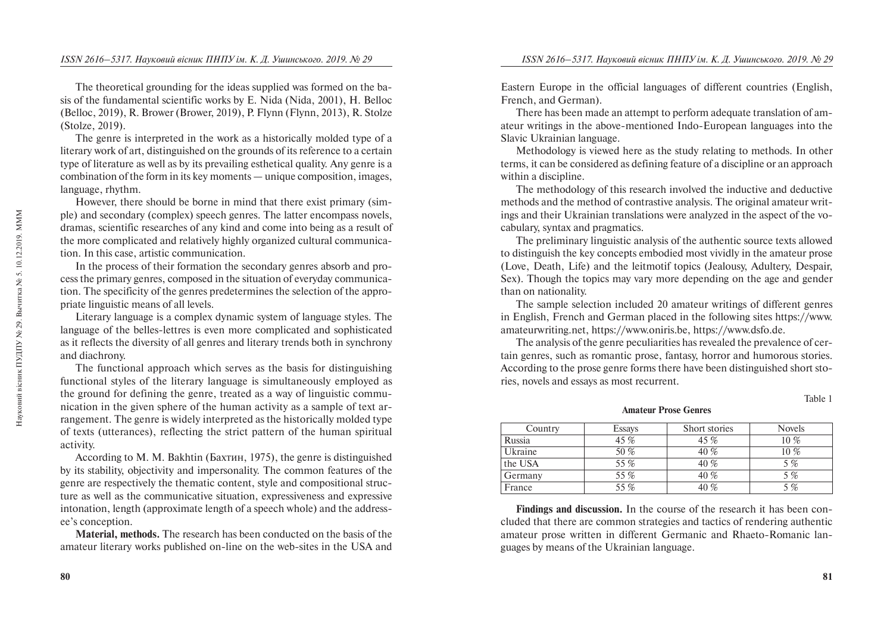The theoretical grounding for the ideas supplied was formed on the basis of the fundamental scientific works by E. Nida (Nida, 2001), H. Belloc (Belloc, 2019), R. Brower (Brower, 2019), P. Flynn (Flynn, 2013), R. Stolze (Stolze, 2019).

The genre is interpreted in the work as a historically molded type of a literary work of art, distinguished on the grounds of its reference to a certain type of literature as well as by its prevailing esthetical quality. Any genre is a combination of the form in its key moments — unique composition, images, language, rhythm.

However, there should be borne in mind that there exist primary (simple) and secondary (complex) speech genres. The latter encompass novels, dramas, scientific researches of any kind and come into being as a result of the more complicated and relatively highly organized cultural communication. In this case, artistic communication.

In the process of their formation the secondary genres absorb and process the primary genres, composed in the situation of everyday communication. The specificity of the genres predetermines the selection of the appropriate linguistic means of all levels.

Literary language is a complex dynamic system of language styles. The language of the belles-lettres is even more complicated and sophisticated as it reflects the diversity of all genres and literary trends both in synchrony and diachrony.

The functional approach which serves as the basis for distinguishing functional styles of the literary language is simultaneously employed as the ground for defining the genre, treated as a way of linguistic communication in the given sphere of the human activity as a sample of text arrangement. The genre is widely interpreted as the historically molded type of texts (utterances), reflecting the strict pattern of the human spiritual activity.

According to M. M. Bakhtin (Бахтин, 1975), the genre is distinguished by its stability, objectivity and impersonality. The common features of the genre are respectively the thematic content, style and compositional structure as well as the communicative situation, expressiveness and expressive intonation, length (approximate length of a speech whole) and the addressee's conception.

**Material, methods.** The research has been conducted on the basis of the amateur literary works published on-line on the web-sites in the USA and Eastern Europe in the official languages of different countries (English, French, and German).

There has been made an attempt to perform adequate translation of amateur writings in the above-mentioned Indo-European languages into the Slavic Ukrainian language.

Methodology is viewed here as the study relating to methods. In other terms, it can be considered as defining feature of a discipline or an approach within a discipline.

The methodology of this research involved the inductive and deductive methods and the method of contrastive analysis. The original amateur writings and their Ukrainian translations were analyzed in the aspect of the vocabulary, syntax and pragmatics.

The preliminary linguistic analysis of the authentic source texts allowed to distinguish the key concepts embodied most vividly in the amateur prose (Love, Death, Life) and the leitmotif topics (Jealousy, Adultery, Despair, Sex). Though the topics may vary more depending on the age and gender than on nationality.

The sample selection included 20 amateur writings of different genres in English, French and German placed in the following sites https://www. amateurwriting.net, https://www.oniris.be, https://www.dsfo.de.

The analysis of the genre peculiarities has revealed the prevalence of certain genres, such as romantic prose, fantasy, horror and humorous stories. According to the prose genre forms there have been distinguished short stories, novels and essays as most recurrent.

Table 1

**Amateur Prose Genres**

| Country | Essays | Short stories | <b>Novels</b> |
|---------|--------|---------------|---------------|
| Russia  | 45 %   | 45 %          | $10\%$        |
| Ukraine | 50 %   | 40 %          | 10 %          |
| the USA | 55 %   | 40 %          | 5 %           |
| Germany | 55 %   | 40%           | 5 %           |
| France  | 55 %   | 40 %          | 5 %           |

**Findings and discussion.** In the course of the research it has been concluded that there are common strategies and tactics of rendering authentic amateur prose written in different Germanic and Rhaeto-Romanic languages by means of the Ukrainian language.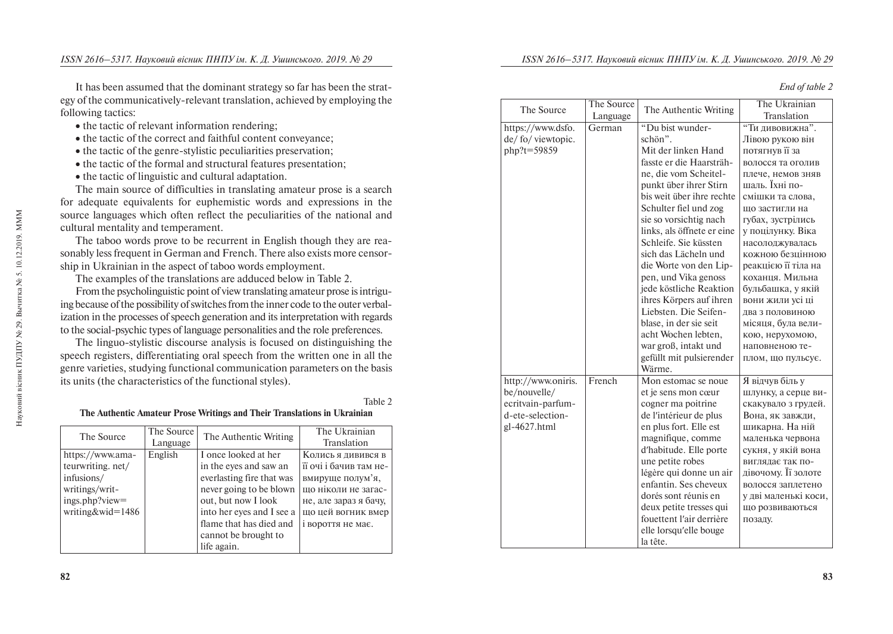Language The Authentic Writing The Ukrainian

It has been assumed that the dominant strategy so far has been the strategy of the communicatively-relevant translation, achieved by employing the following tactics:

- $\bullet$  the tactic of relevant information
- the tactic of the correct and faithful content conveyance;
- the tactic of the genre-stylistic peculiarities preservation;
- the tactic of the formal and structural features presentation;
- 

• the tactic of linguistic and cultural adaptation.<br>The main source of difficulties in translating amateur prose is a search The main source of difficulties in translating amateur prose is a search adequate equivalents for euphemistic words and expressions in the for adequate equivalents for eup source languages which often reflect the peculiarities of the national and cultural mentality and temperament.

The taboo words prove to be recurrent in English though they are reasonably less frequent in German and French. There also exists more censorship in Ukrainian in the aspect of taboo words employment.

The examples of the translations are adduced below in Table 2.

From the psycholinguistic point of view translating amateur prose is intriguing because of the possibility of switches from the inner code to the outer verbalization in the processes of speech generation and its interpretation with regards to the social-psychic types of language personalities and the role preferences.

The linguo-stylistic discourse analysis is focused on distinguishing the speech registers, differentiating oral speech from the written one in all the genre varieties, studying functional communication parameters on the basis its units (the characteristics of the functional styles).

### Table 2

### **The Authentic Amateur Prose Writings and Their Translations in Ukrainian**

| The Source        | The Source | The Authentic Writing     | The Ukrainian          |
|-------------------|------------|---------------------------|------------------------|
|                   | Language   |                           | Translation            |
| https://www.ama-  | English    | I once looked at her      | Колись я дивився в     |
| teurwriting. net/ |            | in the eyes and saw an    | її очі і бачив там не- |
| infusions/        |            | everlasting fire that was | вмируще полум'я,       |
| writings/writ-    |            | never going to be blown   | що ніколи не загас-    |
| ings.php?view=    |            | out, but now I look       | не, але зараз я бачу,  |
| writing&wid=1486  |            | into her eyes and I see a | що цей вогник вмер     |
|                   |            | flame that has died and   | і вороття не має.      |
|                   |            | cannot be brought to      |                        |
|                   |            | life again.               |                        |

| ation rendering;     |
|----------------------|
| faithful content c   |
| tic peculiarities pr |
| structural features  |
| altural adaptation   |
| es in translating a  |
| phemistic words      |
| flect the peculiar   |
| ent.                 |
| recurrent in Engl    |

| https://www.dsfo.  | German | "Du bist wunder-           | "Ти дивовижна".      |
|--------------------|--------|----------------------------|----------------------|
| de/fo/viewtopic.   |        | schön".                    | Лівою рукою він      |
| php?t=59859        |        | Mit der linken Hand        | потягнув її за       |
|                    |        | fasste er die Haarsträh-   | волосся та оголив    |
|                    |        | ne, die vom Scheitel-      | плече, немов зняв    |
|                    |        | punkt über ihrer Stirn     | шаль. Їхні по-       |
|                    |        | bis weit über ihre rechte  | смішки та слова,     |
|                    |        | Schulter fiel und zog      | що застигли на       |
|                    |        | sie so vorsichtig nach     | губах, зустрілись    |
|                    |        | links, als öffnete er eine | у поцілунку. Віка    |
|                    |        | Schleife. Sie küssten      | насолоджувалась      |
|                    |        | sich das Lächeln und       | кожною безцінною     |
|                    |        | die Worte von den Lip-     | реакцією її тіла на  |
|                    |        | pen, und Vika genoss       | коханця. Мильна      |
|                    |        | jede köstliche Reaktion    | бульбашка, у якій    |
|                    |        | ihres Körpers auf ihren    | вони жили усі ці     |
|                    |        | Liebsten. Die Seifen-      | два з половиною      |
|                    |        | blase, in der sie seit     | місяця, була вели-   |
|                    |        | acht Wochen lebten,        | кою, нерухомою,      |
|                    |        | war groß, intakt und       | наповненою те-       |
|                    |        | gefüllt mit pulsierender   | плом, що пульсує.    |
|                    |        | Wärme.                     |                      |
| http://www.oniris. | French | Mon estomac se noue        | Я відчув біль у      |
| be/nouvelle/       |        | et je sens mon cœur        | шлунку, а серце ви-  |
| ecritvain-parfum-  |        | cogner ma poitrine         | скакувало з грудей.  |
| d-ete-selection-   |        | de l'intérieur de plus     | Вона, як завжди,     |
| gl-4627.html       |        | en plus fort. Elle est     | шикарна. На ній      |
|                    |        | magnifique, comme          | маленька червона     |
|                    |        | d'habitude. Elle porte     | сукня, у якій вона   |
|                    |        | une petite robes           | виглядає так по-     |
|                    |        | légère qui donne un air    | дівочому. Її золоте  |
|                    |        | enfantin. Ses cheveux      | волосся заплетено    |
|                    |        | dorés sont réunis en       | у дві маленькі коси. |
|                    |        | deux petite tresses qui    | що розвиваються      |

fouettent lʹair derrière elle lorsquʹelle bouge

позаду.

la tête.

The Source The Source

|  |  | End of table 2 |  |
|--|--|----------------|--|
|--|--|----------------|--|

Translation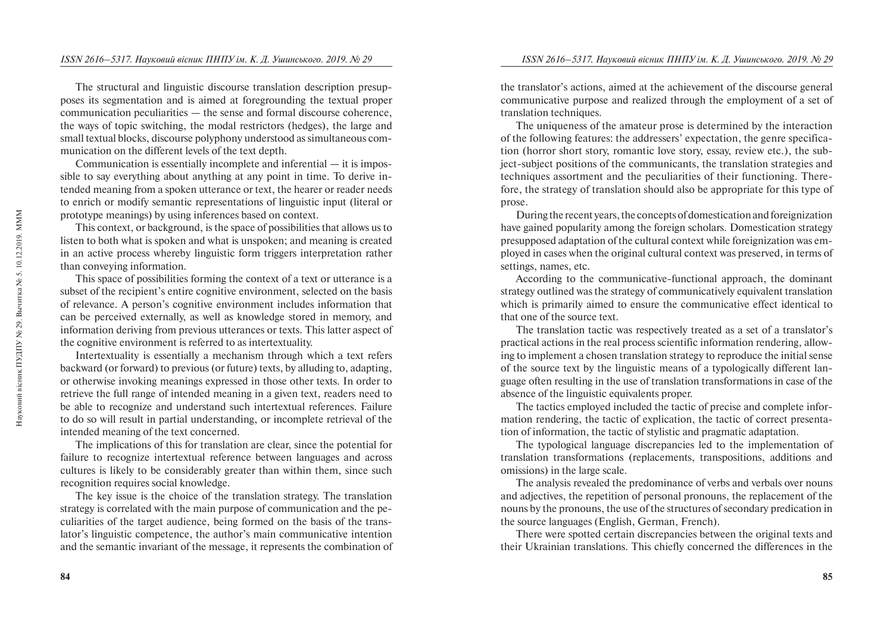The structural and linguistic discourse translation description presupposes its segmentation and is aimed at foregrounding the textual proper communication peculiarities — the sense and formal discourse coherence, the ways of topic switching, the modal restrictors (hedges), the large and small textual blocks, discourse polyphony understood as simultaneous communication on the different levels of the text depth.

Communication is essentially incomplete and inferential — it is impossible to say everything about anything at any point in time. To derive intended meaning from a spoken utterance or text, the hearer or reader needs to enrich or modify semantic representations of linguistic input (literal or prototype meanings) by using inferences based on context.

This context, or background, is the space of possibilities that allows us to listen to both what is spoken and what is unspoken; and meaning is created in an active process whereby linguistic form triggers interpretation rather than conveying information.

This space of possibilities forming the context of a text or utterance is a subset of the recipient's entire cognitive environment, selected on the basis of relevance. A person's cognitive environment includes information that can be perceived externally, as well as knowledge stored in memory, and information deriving from previous utterances or texts. This latter aspect of the cognitive environment is referred to as intertextuality.

Intertextuality is essentially a mechanism through which a text refers backward (or forward) to previous (or future) texts, by alluding to, adapting, or otherwise invoking meanings expressed in those other texts. In order to retrieve the full range of intended meaning in a given text, readers need to be able to recognize and understand such intertextual references. Failure to do so will result in partial understanding, or incomplete retrieval of the intended meaning of the text concerned.

The implications of this for translation are clear, since the potential for failure to recognize intertextual reference between languages and across cultures is likely to be considerably greater than within them, since such recognition requires social knowledge.

The key issue is the choice of the translation strategy. The translation strategy is correlated with the main purpose of communication and the peculiarities of the target audience, being formed on the basis of the translator's linguistic competence, the author's main communicative intention and the semantic invariant of the message, it represents the combination of

the translator's actions, aimed at the achievement of the discourse general communicative purpose and realized through the employment of a set of translation techniques.

The uniqueness of the amateur prose is determined by the interaction of the following features: the addressers' expectation, the genre specification (horror short story, romantic love story, essay, review etc.), the subject-subject positions of the communicants, the translation strategies and techniques assortment and the peculiarities of their functioning. Therefore, the strategy of translation should also be appropriate for this type of prose.

During the recent years, the concepts of domestication and foreignization have gained popularity among the foreign scholars. Domestication strategy presupposed adaptation of the cultural context while foreignization was employed in cases when the original cultural context was preserved, in terms of settings, names, etc.

According to the communicative-functional approach, the dominant strategy outlined was the strategy of communicatively equivalent translation which is primarily aimed to ensure the communicative effect identical to that one of the source text.

The translation tactic was respectively treated as a set of a translator's practical actions in the real process scientific information rendering, allowing to implement a chosen translation strategy to reproduce the initial sense of the source text by the linguistic means of a typologically different language often resulting in the use of translation transformations in case of the absence of the linguistic equivalents proper.

The tactics employed included the tactic of precise and complete information rendering, the tactic of explication, the tactic of correct presentation of information, the tactic of stylistic and pragmatic adaptation.

The typological language discrepancies led to the implementation of translation transformations (replacements, transpositions, additions and omissions) in the large scale.

The analysis revealed the predominance of verbs and verbals over nouns and adjectives, the repetition of personal pronouns, the replacement of the nouns by the pronouns, the use of the structures of secondary predication in the source languages (English, German, French).

There were spotted certain discrepancies between the original texts and their Ukrainian translations. This chiefly concerned the differences in the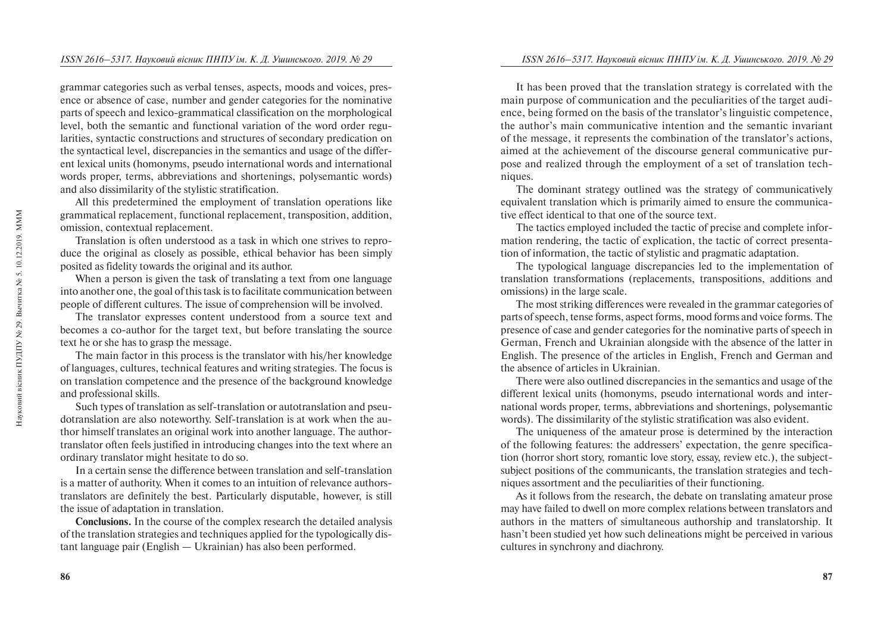grammar categories such as verbal tenses, aspects, moods and voices, presence or absence of case, number and gender categories for the nominative parts of speech and lexico-grammatical classification on the morphological level, both the semantic and functional variation of the word order regularities, syntactic constructions and structures of secondary predication on the syntactical level, discrepancies in the semantics and usage of the different lexical units (homonyms, pseudo international words and international words proper, terms, abbreviations and shortenings, polysemantic words) and also dissimilarity of the stylistic stratification.

All this predetermined the employment of translation operations like grammatical replacement, functional replacement, transposition, addition, omission, contextual replacement.

Translation is often understood as a task in which one strives to reproduce the original as closely as possible, ethical behavior has been simply posited as fidelity towards the original and its author.

When a person is given the task of translating a text from one language into another one, the goal of this task is to facilitate communication between people of different cultures. The issue of comprehension will be involved.

The translator expresses content understood from a source text and becomes a co-author for the target text, but before translating the source text he or she has to grasp the message.

The main factor in this process is the translator with his/her knowledge of languages, cultures, technical features and writing strategies. The focus is on translation competence and the presence of the background knowledge and professional skills.

Such types of translation as self-translation or autotranslation and pseudotranslation are also noteworthy. Self-translation is at work when the author himself translates an original work into another language. The authortranslator often feels justified in introducing changes into the text where an ordinary translator might hesitate to do so.

In a certain sense the difference between translation and self-translation is a matter of authority. When it comes to an intuition of relevance authorstranslators are definitely the best. Particularly disputable, however, is still the issue of adaptation in translation.

**Conclusions.** In the course of the complex research the detailed analysis of the translation strategies and techniques applied for the typologically distant language pair (English — Ukrainian) has also been performed.

It has been proved that the translation strategy is correlated with the main purpose of communication and the peculiarities of the target audience, being formed on the basis of the translator's linguistic competence, the author's main communicative intention and the semantic invariant of the message, it represents the combination of the translator's actions, aimed at the achievement of the discourse general communicative purpose and realized through the employment of a set of translation techniques.

The dominant strategy outlined was the strategy of communicatively equivalent translation which is primarily aimed to ensure the communicative effect identical to that one of the source text.

The tactics employed included the tactic of precise and complete information rendering, the tactic of explication, the tactic of correct presentation of information, the tactic of stylistic and pragmatic adaptation.

The typological language discrepancies led to the implementation of translation transformations (replacements, transpositions, additions and omissions) in the large scale.

The most striking differences were revealed in the grammar categories of parts of speech, tense forms, aspect forms, mood forms and voice forms. The presence of case and gender categories for the nominative parts of speech in German, French and Ukrainian alongside with the absence of the latter in English. The presence of the articles in English, French and German and the absence of articles in Ukrainian.

There were also outlined discrepancies in the semantics and usage of the different lexical units (homonyms, pseudo international words and international words proper, terms, abbreviations and shortenings, polysemantic words). The dissimilarity of the stylistic stratification was also evident.

The uniqueness of the amateur prose is determined by the interaction of the following features: the addressers' expectation, the genre specification (horror short story, romantic love story, essay, review etc.), the subjectsubject positions of the communicants, the translation strategies and techniques assortment and the peculiarities of their functioning.

As it follows from the research, the debate on translating amateur prose may have failed to dwell on more complex relations between translators and authors in the matters of simultaneous authorship and translatorship. It hasn't been studied yet how such delineations might be perceived in various cultures in synchrony and diachrony.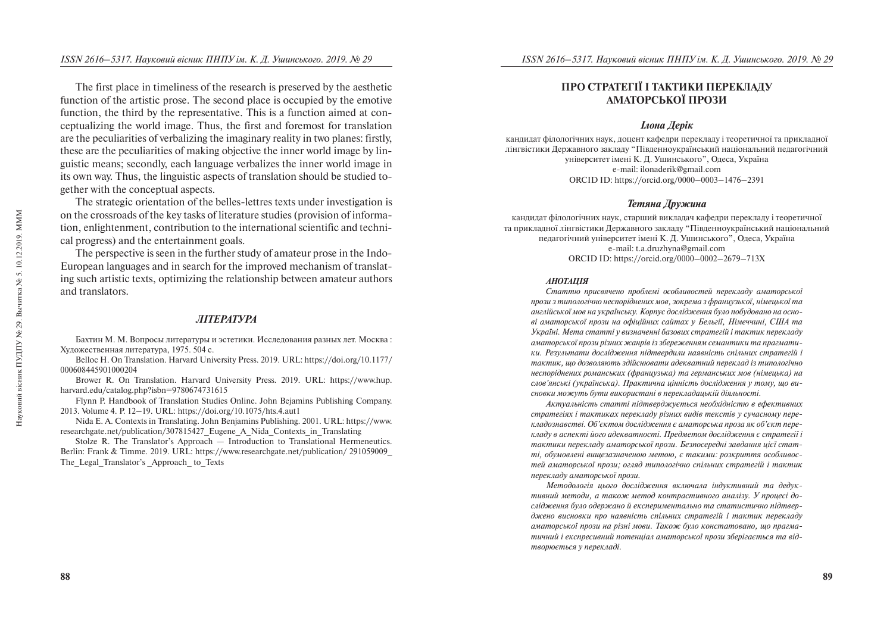The first place in timeliness of the research is preserved by the aesthetic function of the artistic prose. The second place is occupied by the emotive function, the third by the representative. This is a function aimed at conceptualizing the world image. Thus, the first and foremost for translation are the peculiarities of verbalizing the imaginary reality in two planes: firstly, these are the peculiarities of making objective the inner world image by linguistic means; secondly, each language verbalizes the inner world image in its own way. Thus, the linguistic aspects of translation should be studied together with the conceptual aspects.

The strategic orientation of the belles-lettres texts under investigation is on the crossroads of the key tasks of literature studies (provision of information, enlightenment, contribution to the international scientific and technical progress) and the entertainment goals.

The perspective is seen in the further study of amateur prose in the Indo-European languages and in search for the improved mechanism of translating such artistic texts, optimizing the relationship between amateur authors and translators.

### **JIITEPATYPA**

Бахтин М. М. Вопросы литературы и эстетики. Исследования разных лет. Москва: Художественная литература, 1975. 504 с.

Belloc H. On Translation. Harvard University Press. 2019. URL: https://doi.org/10.1177/ 000608445901000204

Brower R. On Translation. Harvard University Press. 2019. URL: https://www.hup. harvard.edu/catalog.php?isbn=9780674731615

Flynn P. Handbook of Translation Studies Online. John Bejamins Publishing Company. 2013. Volume 4. P. 12–19. URL: https://doi.org/10.1075/hts.4.aut1

Nida E. A. Contexts in Translating. John Benjamins Publishing. 2001. URL: https://www. researchgate.net/publication/307815427\_Eugene\_A\_Nida\_Contexts\_in\_Translating

Stolze R. The Translator's Approach — Introduction to Translational Hermeneutics. Berlin: Frank & Timme. 2019. URL: https://www.researchgate.net/publication/ 291059009\_ The Legal Translator's Approach to Texts

# ПРО СТРАТЕГІЇ І ТАКТИКИ ПЕРЕКЛАДУ АМАТОРСЬКОЇ ПРОЗИ

### *<u>Ілона</u>* Лерік

кандидат філологічних наук, доцент кафедри перекладу і теоретичної та прикладної лінгвістики Лержавного заклалу "Півленноукраїнський національний пелагогічний університет імені К. Л. Ушинського", Олеса, Україна e-mail: ilonaderik@gmail.com ORCID ID: https://orcid.org/0000–0003–1476–2391

### Тетяна Дружина

кандидат філологічних наук, старший викладач кафедри перекладу і теоретичної та прикладної лінгвістики Державного закладу "Південноукраїнський національний пелагогічний університет імені К. Л. Ушинського", Олеса, Україна e-mail: t.a.druzhyna@gmail.com ORCID ID: https://orcid.org/0000–0002–2679–713X

#### *ÀÍÎÒÀÖ²ß*

Статтю присвячено проблемі особливостей перекладу аматорської прози з типологічно неспоріднених мов, зокрема з французької, німецької та англійської мов на українську. Корпус дослідження було побудовано на осноаі аматорської прози на офіційних сайтах у Бельгії, Німеччині, США та *Óêðà¿í³. Ìåòà ñòàòò³ ó âèçíà÷åíí³ áàçîâèõ ñòðàòåã³é ³ òàêòèê ïåðåêëàäó*  аматорської прози різних жанрів із збереженням семантики та прагмати*êè. Ðåçóëüòàòè äîñë³äæåííÿ ï³äòâåðäèëè íàÿâí³ñòü ñï³ëüíèõ ñòðàòåã³é ³ òàêòèê, ùî äîçâîëÿþòü çä³éñíþâàòè àäåêâàòíèé ïåðåêëàä ³ç òèïîëîã³÷íî íåñïîð³äíåíèõ ðîìàíñüêèõ (ôðàíöóçüêà) òà ãåðìàíñüêèõ ìîâ (í³ìåöüêà) íà*  слов'янські (українська). Практична цінність дослідження у тому, що висновки можуть бути використані в перекладацькій діяльності.

*Актуальність статті підтверджується необхідністю в ефективних cmpameгіях і тактиках перекладу різних видів текстів у сучасному переêëàäîçíàâñòâ³. Îá'ºêòîì äîñë³äæåííÿ º àìàòîðñüêà ïðîçà ÿê îá'ºêò ïåðå* $k$ ладу в аспекті його адекватності. Предметом дослідження є стратегії і тактики перекладу аматорської прози. Безпосередні завдання цієї статті, обумовлені вишезазначеною метою, є такими: розкриття особливос*тей аматорської прози; огляд типологічно спільних стратегій і тактик* перекладу аматорської прози.

Методологія цього дослідження включала індуктивний та дедук*тивний методи, а також метод контрастивного аналізу. У процесі до*слідження було одержано й експериментально та статистично підтверджено висновки про наявність спільних стратегій *і тактик переклад*у аматорської прози на різні мови. Також було констатовано, шо прагма*райний і експресивний потениіал аматорської прози зберігається та відmворюється у перекладі.*